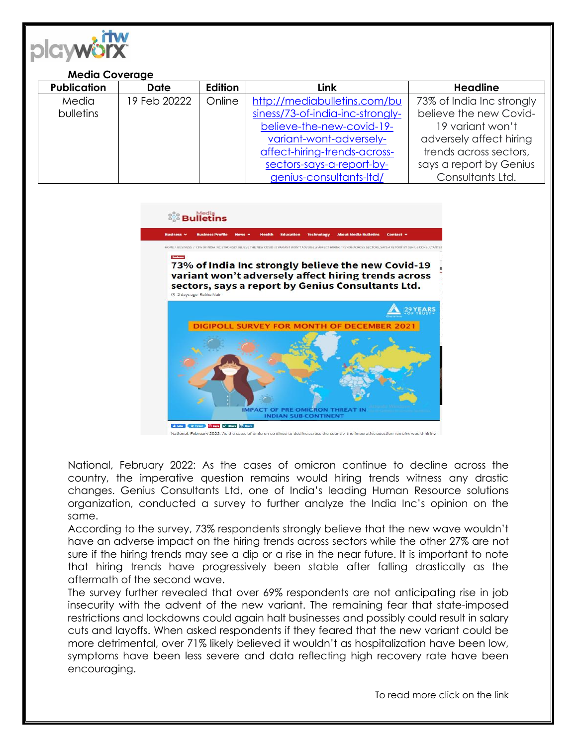

## **Media Coverage**

| <b>Publication</b> | <b>Date</b>  | Edition | Link                             | <b>Headline</b>           |
|--------------------|--------------|---------|----------------------------------|---------------------------|
| Media              | 19 Feb 20222 | Online  | http://mediabulletins.com/bu     | 73% of India Inc strongly |
| <b>bulletins</b>   |              |         | siness/73-of-india-inc-strongly- | believe the new Covid-    |
|                    |              |         | believe-the-new-covid-19-        | 19 variant won't          |
|                    |              |         | variant-wont-adversely-          | adversely affect hiring   |
|                    |              |         | affect-hiring-trends-across-     | trends across sectors,    |
|                    |              |         | sectors-says-a-report-by-        | says a report by Genius   |
|                    |              |         | genius-consultants-Itd/          | Consultants Ltd.          |

## <sup>88</sup> Bulletins

73% of India Inc strongly believe the new Covid-19 variant won't adversely affect hiring trends across sectors, says a report by Genius Consultants Ltd. (0) 2 days ago Rekha Nai 29 YEARS DIGIPOLL SURVEY FOR MONTH OF DECEMBER 2021



al. February 2022: As the cases of omicron continue to decline across the country, the imperative or

National, February 2022: As the cases of omicron continue to decline across the country, the imperative question remains would hiring trends witness any drastic changes. Genius Consultants Ltd, one of India's leading Human Resource solutions organization, conducted a survey to further analyze the India Inc's opinion on the same.

According to the survey, 73% respondents strongly believe that the new wave wouldn't have an adverse impact on the hiring trends across sectors while the other 27% are not sure if the hiring trends may see a dip or a rise in the near future. It is important to note that hiring trends have progressively been stable after falling drastically as the aftermath of the second wave.

The survey further revealed that over 69% respondents are not anticipating rise in job insecurity with the advent of the new variant. The remaining fear that state-imposed restrictions and lockdowns could again halt businesses and possibly could result in salary cuts and layoffs. When asked respondents if they feared that the new variant could be more detrimental, over 71% likely believed it wouldn't as hospitalization have been low, symptoms have been less severe and data reflecting high recovery rate have been encouraging.

To read more click on the link